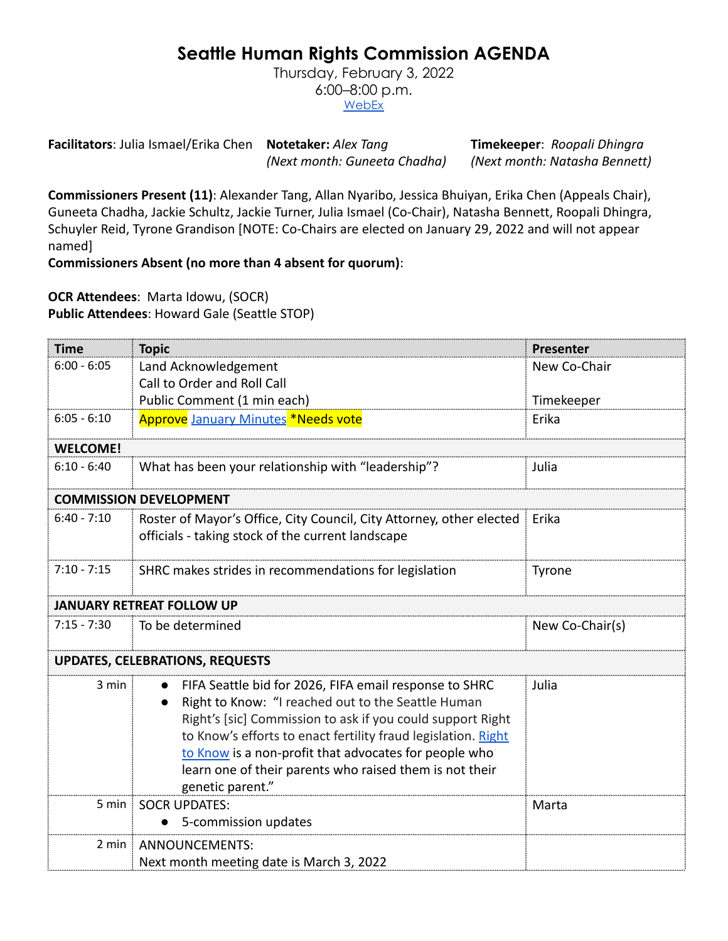## **Seattle Human Rights Commission AGENDA**

Thursday, February 3, 2022 6:00–8:00 p.m. **[WebEx](https://www.seattle.gov/humanrights/calendar)** 

**Facilitators**: Julia Ismael/Erika Chen **Notetaker:** *Alex Tang* **Timekeeper**: *Roopali Dhingra (Next month: Guneeta Chadha) (Next month: Natasha Bennett)*

**Commissioners Present (11)**: Alexander Tang, Allan Nyaribo, Jessica Bhuiyan, Erika Chen (Appeals Chair), Guneeta Chadha, Jackie Schultz, Jackie Turner, Julia Ismael (Co-Chair), Natasha Bennett, Roopali Dhingra, Schuyler Reid, Tyrone Grandison [NOTE: Co-Chairs are elected on January 29, 2022 and will not appear named]

**Commissioners Absent (no more than 4 absent for quorum)**:

**OCR Attendees**: Marta Idowu, (SOCR) **Public Attendees**: Howard Gale (Seattle STOP)

| <b>Time</b>                            | <b>Topic</b>                                                                                                                                                                                                                                                                                                                                                                        | Presenter       |
|----------------------------------------|-------------------------------------------------------------------------------------------------------------------------------------------------------------------------------------------------------------------------------------------------------------------------------------------------------------------------------------------------------------------------------------|-----------------|
| $6:00 - 6:05$                          | Land Acknowledgement                                                                                                                                                                                                                                                                                                                                                                | New Co-Chair    |
|                                        | Call to Order and Roll Call                                                                                                                                                                                                                                                                                                                                                         |                 |
|                                        | Public Comment (1 min each)                                                                                                                                                                                                                                                                                                                                                         | Timekeeper      |
| $6:05 - 6:10$                          | Approve January Minutes *Needs vote                                                                                                                                                                                                                                                                                                                                                 | Erika           |
| <b>WELCOME!</b>                        |                                                                                                                                                                                                                                                                                                                                                                                     |                 |
| $6:10 - 6:40$                          | What has been your relationship with "leadership"?                                                                                                                                                                                                                                                                                                                                  | Julia           |
| <b>COMMISSION DEVELOPMENT</b>          |                                                                                                                                                                                                                                                                                                                                                                                     |                 |
| $6:40 - 7:10$                          | Roster of Mayor's Office, City Council, City Attorney, other elected<br>officials - taking stock of the current landscape                                                                                                                                                                                                                                                           | Erika           |
| $7:10 - 7:15$                          | SHRC makes strides in recommendations for legislation                                                                                                                                                                                                                                                                                                                               | <b>Tyrone</b>   |
| <b>JANUARY RETREAT FOLLOW UP</b>       |                                                                                                                                                                                                                                                                                                                                                                                     |                 |
| $7:15 - 7:30$                          | To be determined                                                                                                                                                                                                                                                                                                                                                                    | New Co-Chair(s) |
| <b>UPDATES, CELEBRATIONS, REQUESTS</b> |                                                                                                                                                                                                                                                                                                                                                                                     |                 |
| 3 min                                  | FIFA Seattle bid for 2026, FIFA email response to SHRC<br>Right to Know: "I reached out to the Seattle Human<br>Right's [sic] Commission to ask if you could support Right<br>to Know's efforts to enact fertility fraud legislation. Right<br>to Know is a non-profit that advocates for people who<br>learn one of their parents who raised them is not their<br>genetic parent." | Julia           |
| 5 min $\frac{1}{2}$                    | <b>SOCR UPDATES:</b>                                                                                                                                                                                                                                                                                                                                                                | Marta           |
|                                        | 5-commission updates                                                                                                                                                                                                                                                                                                                                                                |                 |
|                                        | 2 min   ANNOUNCEMENTS:                                                                                                                                                                                                                                                                                                                                                              |                 |
|                                        | Next month meeting date is March 3, 2022                                                                                                                                                                                                                                                                                                                                            |                 |